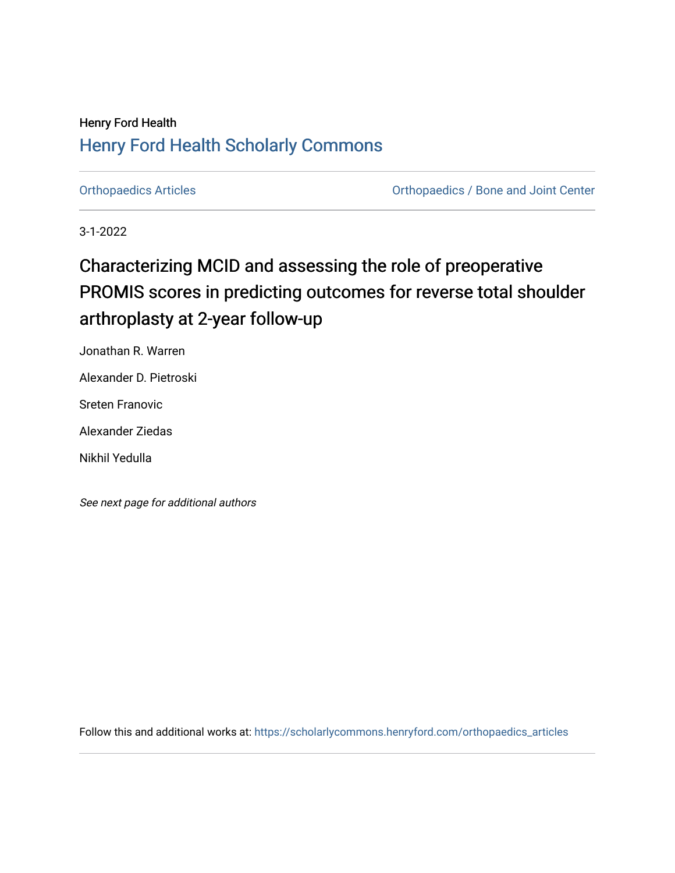## Henry Ford Health [Henry Ford Health Scholarly Commons](https://scholarlycommons.henryford.com/)

[Orthopaedics Articles](https://scholarlycommons.henryford.com/orthopaedics_articles) [Orthopaedics / Bone and Joint Center](https://scholarlycommons.henryford.com/orthopaedics) 

3-1-2022

# Characterizing MCID and assessing the role of preoperative PROMIS scores in predicting outcomes for reverse total shoulder arthroplasty at 2-year follow-up

Jonathan R. Warren

Alexander D. Pietroski

Sreten Franovic

Alexander Ziedas

Nikhil Yedulla

See next page for additional authors

Follow this and additional works at: [https://scholarlycommons.henryford.com/orthopaedics\\_articles](https://scholarlycommons.henryford.com/orthopaedics_articles?utm_source=scholarlycommons.henryford.com%2Forthopaedics_articles%2F394&utm_medium=PDF&utm_campaign=PDFCoverPages)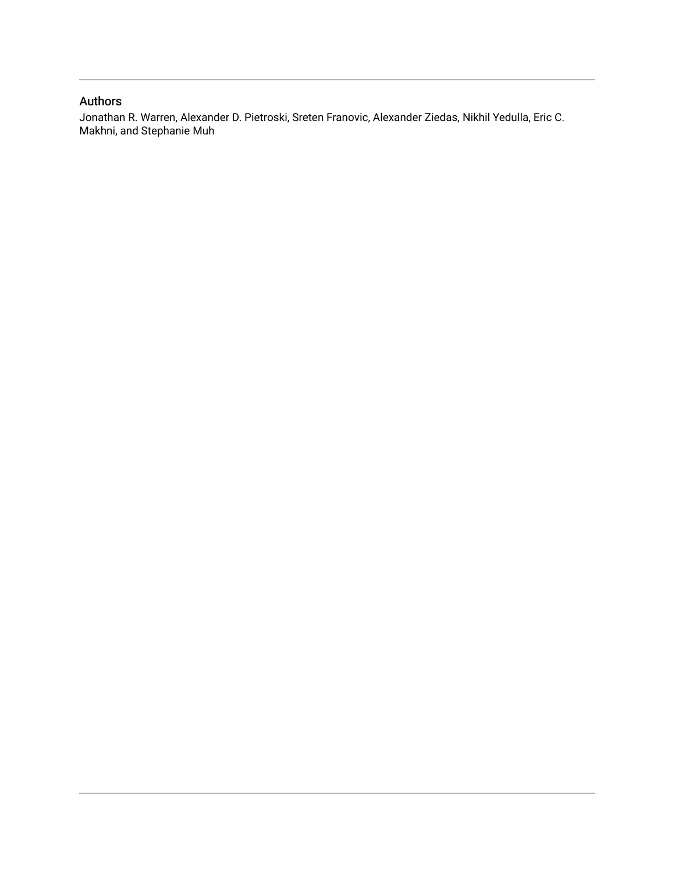### Authors

Jonathan R. Warren, Alexander D. Pietroski, Sreten Franovic, Alexander Ziedas, Nikhil Yedulla, Eric C. Makhni, and Stephanie Muh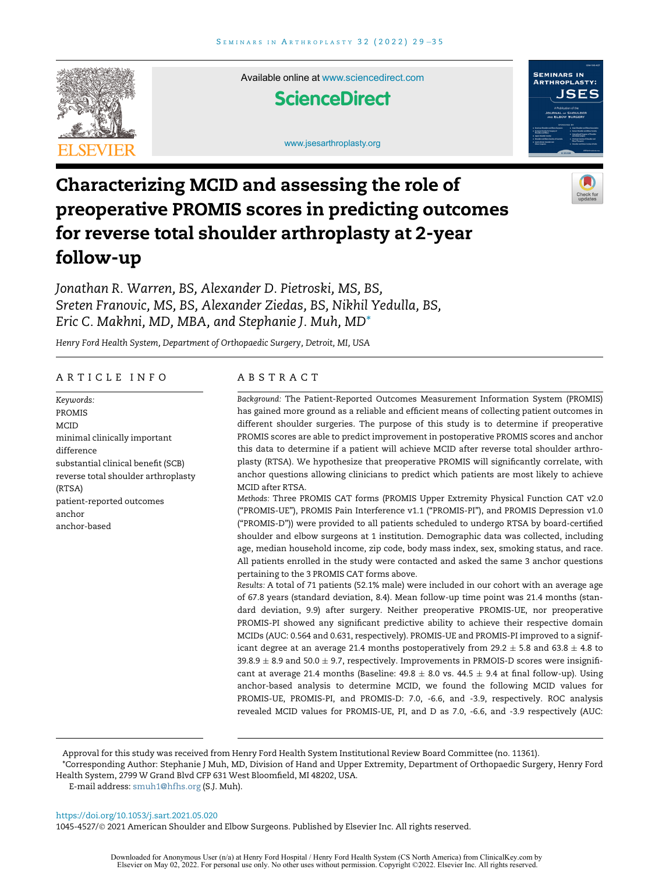

Available online at [www.sciencedirect.com](http://www.sciencedirect.com)

### **ScienceDirect**

[www.jsesarthroplasty.org](http://www.jsesarthroplasty.org)



## Characterizing MCID and assessing the role of preoperative PROMIS scores in predicting outcomes for reverse total shoulder arthroplasty at 2-year follow-up



Jonathan R. Warren, BS, Alexander D. Pietroski, MS, BS, Sreten Franovic, MS, BS, Alexander Ziedas, BS, Nikhil Yedulla, BS, Eric C. Makhni, MD, MBA, and Stephanie J. Muh, MD[\\*](#page-2-0)

Henry Ford Health System, Department of Orthopaedic Surgery, Detroit, MI, USA

#### ARTICLE INFO

Keywords: PROMIS MCID minimal clinically important difference substantial clinical benefit (SCB) reverse total shoulder arthroplasty (RTSA) patient-reported outcomes anchor anchor-based

#### ABSTRACT

Background: The Patient-Reported Outcomes Measurement Information System (PROMIS) has gained more ground as a reliable and efficient means of collecting patient outcomes in different shoulder surgeries. The purpose of this study is to determine if preoperative PROMIS scores are able to predict improvement in postoperative PROMIS scores and anchor this data to determine if a patient will achieve MCID after reverse total shoulder arthroplasty (RTSA). We hypothesize that preoperative PROMIS will significantly correlate, with anchor questions allowing clinicians to predict which patients are most likely to achieve MCID after RTSA.

Methods: Three PROMIS CAT forms (PROMIS Upper Extremity Physical Function CAT v2.0 ("PROMIS-UE"), PROMIS Pain Interference v1.1 ("PROMIS-PI"), and PROMIS Depression v1.0 ("PROMIS-D")) were provided to all patients scheduled to undergo RTSA by board-certified shoulder and elbow surgeons at 1 institution. Demographic data was collected, including age, median household income, zip code, body mass index, sex, smoking status, and race. All patients enrolled in the study were contacted and asked the same 3 anchor questions pertaining to the 3 PROMIS CAT forms above.

Results: A total of 71 patients (52.1% male) were included in our cohort with an average age of 67.8 years (standard deviation, 8.4). Mean follow-up time point was 21.4 months (standard deviation, 9.9) after surgery. Neither preoperative PROMIS-UE, nor preoperative PROMIS-PI showed any significant predictive ability to achieve their respective domain MCIDs (AUC: 0.564 and 0.631, respectively). PROMIS-UE and PROMIS-PI improved to a significant degree at an average 21.4 months postoperatively from 29.2  $\pm$  5.8 and 63.8  $\pm$  4.8 to  $39.8.9 \pm 8.9$  and  $50.0 \pm 9.7$ , respectively. Improvements in PRMOIS-D scores were insignificant at average 21.4 months (Baseline:  $49.8 \pm 8.0$  vs.  $44.5 \pm 9.4$  at final follow-up). Using anchor-based analysis to determine MCID, we found the following MCID values for PROMIS-UE, PROMIS-PI, and PROMIS-D: 7.0, -6.6, and -3.9, respectively. ROC analysis revealed MCID values for PROMIS-UE, PI, and D as 7.0, -6.6, and -3.9 respectively (AUC:

Approval for this study was received from Henry Ford Health System Institutional Review Board Committee (no. 11361).

<span id="page-2-0"></span>\*Corresponding Author: Stephanie J Muh, MD, Division of Hand and Upper Extremity, Department of Orthopaedic Surgery, Henry Ford Health System, 2799 W Grand Blvd CFP 631 West Bloomfield, MI 48202, USA.

E-mail address: [smuh1@hfhs.org](mailto:smuh1@hfhs.org) (S.J. Muh).

<https://doi.org/10.1053/j.sart.2021.05.020>

1045-4527/© 2021 American Shoulder and Elbow Surgeons. Published by Elsevier Inc. All rights reserved.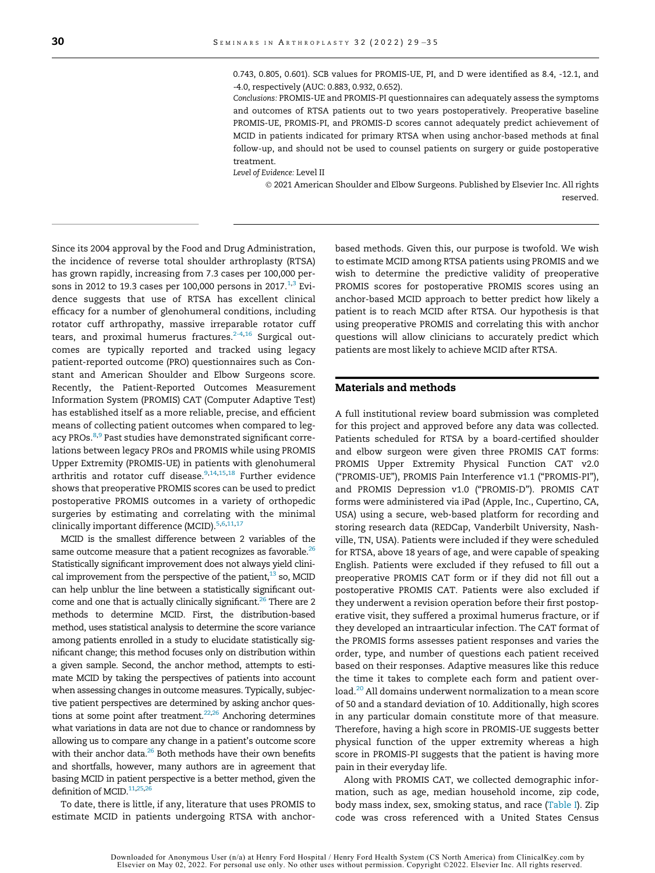0.743, 0.805, 0.601). SCB values for PROMIS-UE, PI, and D were identified as 8.4, -12.1, and -4.0, respectively (AUC: 0.883, 0.932, 0.652).

Conclusions: PROMIS-UE and PROMIS-PI questionnaires can adequately assess the symptoms and outcomes of RTSA patients out to two years postoperatively. Preoperative baseline PROMIS-UE, PROMIS-PI, and PROMIS-D scores cannot adequately predict achievement of MCID in patients indicated for primary RTSA when using anchor-based methods at final follow-up, and should not be used to counsel patients on surgery or guide postoperative treatment.

Level of Evidence: Level II

 2021 American Shoulder and Elbow Surgeons. Published by Elsevier Inc. All rights reserved.

Since its 2004 approval by the Food and Drug Administration, the incidence of reverse total shoulder arthroplasty (RTSA) has grown rapidly, increasing from 7.3 cases per 100,000 per-sons in 20[1](#page-7-0)2 to 19.3 cases per 100,000 persons in 2017. $^{1,3}$  $^{1,3}$  $^{1,3}$  Evidence suggests that use of RTSA has excellent clinical efficacy for a number of glenohumeral conditions, including rotator cuff arthropathy, massive irreparable rotator cuff tears, and proximal humerus fractures.<sup>[2-4](#page-7-2)[,16](#page-8-0)</sup> Surgical outcomes are typically reported and tracked using legacy patient-reported outcome (PRO) questionnaires such as Constant and American Shoulder and Elbow Surgeons score. Recently, the Patient-Reported Outcomes Measurement Information System (PROMIS) CAT (Computer Adaptive Test) has established itself as a more reliable, precise, and efficient means of collecting patient outcomes when compared to leg-acy PROs.<sup>[8,](#page-7-3)[9](#page-7-4)</sup> Past studies have demonstrated significant correlations between legacy PROs and PROMIS while using PROMIS Upper Extremity (PROMIS-UE) in patients with glenohumeral arthritis and rotator cuff disease.<sup>9[,14](#page-8-1)[,15](#page-8-2),[18](#page-8-3)</sup> Further evidence shows that preoperative PROMIS scores can be used to predict postoperative PROMIS outcomes in a variety of orthopedic surgeries by estimating and correlating with the minimal clinically important difference (MCID).<sup>[5](#page-7-5),[6](#page-7-6),[11](#page-7-7)[,17](#page-8-4)</sup>

MCID is the smallest difference between 2 variables of the same outcome measure that a patient recognizes as favorable. $^{26}$ Statistically significant improvement does not always yield clinical improvement from the perspective of the patient, $13$  so, MCID can help unblur the line between a statistically significant outcome and one that is actually clinically significant.<sup>26</sup> There are 2 methods to determine MCID. First, the distribution-based method, uses statistical analysis to determine the score variance among patients enrolled in a study to elucidate statistically significant change; this method focuses only on distribution within a given sample. Second, the anchor method, attempts to estimate MCID by taking the perspectives of patients into account when assessing changes in outcome measures. Typically, subjective patient perspectives are determined by asking anchor questions at some point after treatment. $22,26$  $22,26$  Anchoring determines what variations in data are not due to chance or randomness by allowing us to compare any change in a patient's outcome score with their anchor data.<sup>26</sup> Both methods have their own benefits and shortfalls, however, many authors are in agreement that basing MCID in patient perspective is a better method, given the definition of MCID.<sup>11,[25](#page-8-7),[26](#page-8-5)</sup>

To date, there is little, if any, literature that uses PROMIS to estimate MCID in patients undergoing RTSA with anchorbased methods. Given this, our purpose is twofold. We wish to estimate MCID among RTSA patients using PROMIS and we wish to determine the predictive validity of preoperative PROMIS scores for postoperative PROMIS scores using an anchor-based MCID approach to better predict how likely a patient is to reach MCID after RTSA. Our hypothesis is that using preoperative PROMIS and correlating this with anchor questions will allow clinicians to accurately predict which patients are most likely to achieve MCID after RTSA.

#### Materials and methods

A full institutional review board submission was completed for this project and approved before any data was collected. Patients scheduled for RTSA by a board-certified shoulder and elbow surgeon were given three PROMIS CAT forms: PROMIS Upper Extremity Physical Function CAT v2.0 ("PROMIS-UE"), PROMIS Pain Interference v1.1 ("PROMIS-PI"), and PROMIS Depression v1.0 ("PROMIS-D"). PROMIS CAT forms were administered via iPad (Apple, Inc., Cupertino, CA, USA) using a secure, web-based platform for recording and storing research data (REDCap, Vanderbilt University, Nashville, TN, USA). Patients were included if they were scheduled for RTSA, above 18 years of age, and were capable of speaking English. Patients were excluded if they refused to fill out a preoperative PROMIS CAT form or if they did not fill out a postoperative PROMIS CAT. Patients were also excluded if they underwent a revision operation before their first postoperative visit, they suffered a proximal humerus fracture, or if they developed an intraarticular infection. The CAT format of the PROMIS forms assesses patient responses and varies the order, type, and number of questions each patient received based on their responses. Adaptive measures like this reduce the time it takes to complete each form and patient overload[.20](#page-8-8) All domains underwent normalization to a mean score of 50 and a standard deviation of 10. Additionally, high scores in any particular domain constitute more of that measure. Therefore, having a high score in PROMIS-UE suggests better physical function of the upper extremity whereas a high score in PROMIS-PI suggests that the patient is having more pain in their everyday life.

Along with PROMIS CAT, we collected demographic information, such as age, median household income, zip code, body mass index, sex, smoking status, and race ([Table I](#page-4-0)). Zip code was cross referenced with a United States Census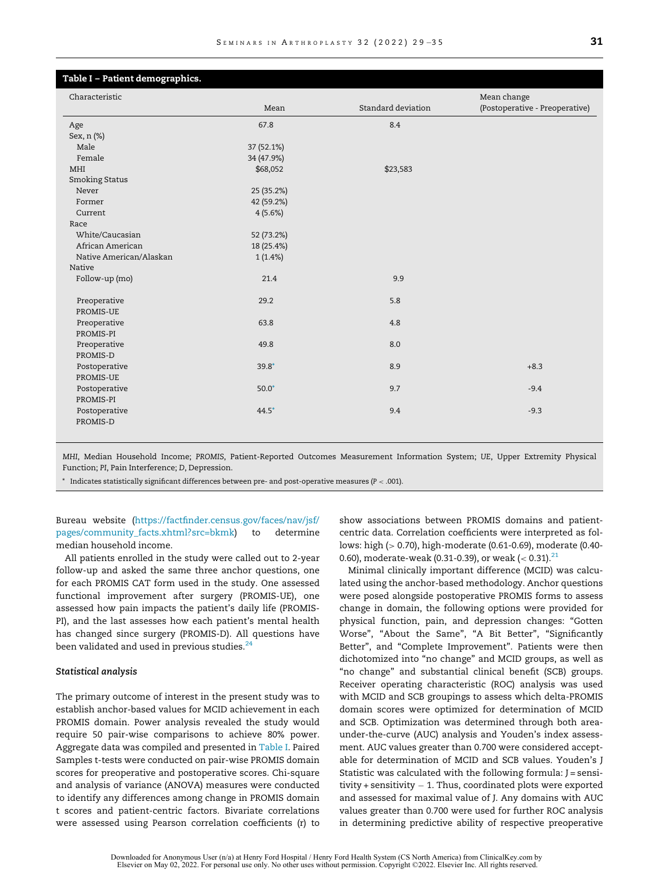<span id="page-4-0"></span>

| Table I - Patient demographics. |            |                    |                                |
|---------------------------------|------------|--------------------|--------------------------------|
| Characteristic                  |            |                    | Mean change                    |
|                                 | Mean       | Standard deviation | (Postoperative - Preoperative) |
| Age                             | 67.8       | 8.4                |                                |
| Sex, n (%)                      |            |                    |                                |
| Male                            | 37 (52.1%) |                    |                                |
| Female                          | 34 (47.9%) |                    |                                |
| MHI                             | \$68,052   | \$23,583           |                                |
| <b>Smoking Status</b>           |            |                    |                                |
| Never                           | 25 (35.2%) |                    |                                |
| Former                          | 42 (59.2%) |                    |                                |
| Current                         | 4(5.6%)    |                    |                                |
| Race                            |            |                    |                                |
| White/Caucasian                 | 52 (73.2%) |                    |                                |
| African American                | 18 (25.4%) |                    |                                |
| Native American/Alaskan         | 1(1.4%)    |                    |                                |
| Native                          |            |                    |                                |
| Follow-up (mo)                  | 21.4       | 9.9                |                                |
| Preoperative<br>PROMIS-UE       | 29.2       | 5.8                |                                |
| Preoperative<br>PROMIS-PI       | 63.8       | 4.8                |                                |
| Preoperative<br>PROMIS-D        | 49.8       | 8.0                |                                |
| Postoperative<br>PROMIS-UE      | $39.8*$    | 8.9                | $+8.3$                         |
| Postoperative<br>PROMIS-PI      | $50.0*$    | 9.7                | $-9.4$                         |
| Postoperative<br>PROMIS-D       | $44.5*$    | 9.4                | $-9.3$                         |

<span id="page-4-1"></span>MHI, Median Household Income; PROMIS, Patient-Reported Outcomes Measurement Information System; UE, Upper Extremity Physical Function; PI, Pain Interference; D, Depression.

 $^\ast$  Indicates statistically significant differences between pre- and post-operative measures (P  $<$  .001).

#### Bureau website [\(https://factfinder.census.gov/faces/nav/jsf/](https://factfinder.census.gov/faces/nav/jsf/pages/community_facts.xhtml?src=bkmk) [pages/community\\_facts.xhtml?src=bkmk\)](https://factfinder.census.gov/faces/nav/jsf/pages/community_facts.xhtml?src=bkmk) to determine median household income.

All patients enrolled in the study were called out to 2-year follow-up and asked the same three anchor questions, one for each PROMIS CAT form used in the study. One assessed functional improvement after surgery (PROMIS-UE), one assessed how pain impacts the patient's daily life (PROMIS-PI), and the last assesses how each patient's mental health has changed since surgery (PROMIS-D). All questions have been validated and used in previous studies. $^{24}$  $^{24}$  $^{24}$ 

#### Statistical analysis

The primary outcome of interest in the present study was to establish anchor-based values for MCID achievement in each PROMIS domain. Power analysis revealed the study would require 50 pair-wise comparisons to achieve 80% power. Aggregate data was compiled and presented in [Table I](#page-4-0). Paired Samples t-tests were conducted on pair-wise PROMIS domain scores for preoperative and postoperative scores. Chi-square and analysis of variance (ANOVA) measures were conducted to identify any differences among change in PROMIS domain t scores and patient-centric factors. Bivariate correlations were assessed using Pearson correlation coefficients (r) to

show associations between PROMIS domains and patientcentric data. Correlation coefficients were interpreted as follows: high (> 0.70), high-moderate (0.61-0.69), moderate (0.40- 0.60), moderate-weak (0.31-0.39), or weak (< 0.31). $^{21}$  $^{21}$  $^{21}$ 

Minimal clinically important difference (MCID) was calculated using the anchor-based methodology. Anchor questions were posed alongside postoperative PROMIS forms to assess change in domain, the following options were provided for physical function, pain, and depression changes: "Gotten Worse", "About the Same", "A Bit Better", "Significantly Better", and "Complete Improvement". Patients were then dichotomized into "no change" and MCID groups, as well as "no change" and substantial clinical benefit (SCB) groups. Receiver operating characteristic (ROC) analysis was used with MCID and SCB groupings to assess which delta-PROMIS domain scores were optimized for determination of MCID and SCB. Optimization was determined through both areaunder-the-curve (AUC) analysis and Youden's index assessment. AUC values greater than 0.700 were considered acceptable for determination of MCID and SCB values. Youden's J Statistic was calculated with the following formula: J = sensitivity + sensitivity  $-$  1. Thus, coordinated plots were exported and assessed for maximal value of J. Any domains with AUC values greater than 0.700 were used for further ROC analysis in determining predictive ability of respective preoperative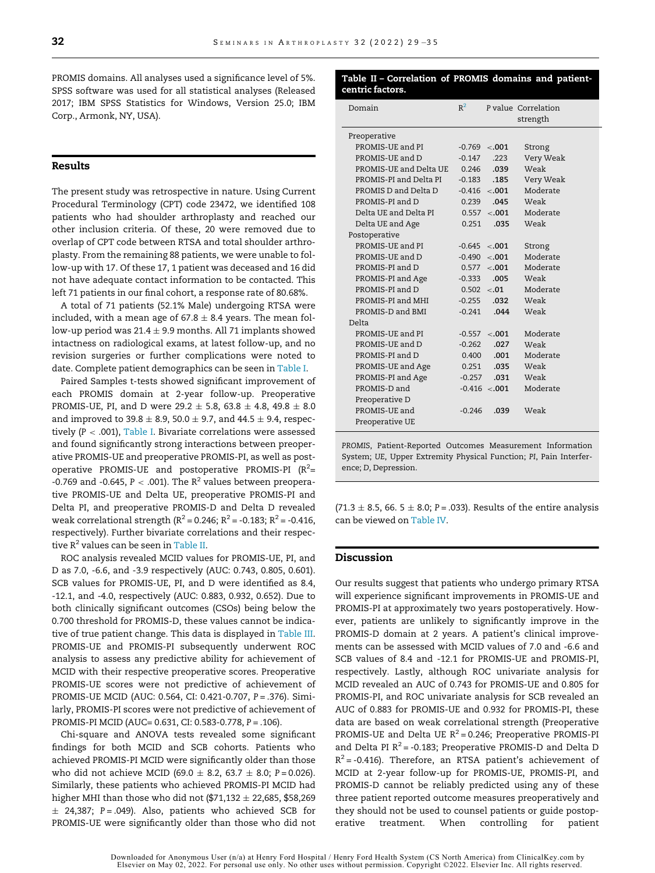<span id="page-5-0"></span>PROMIS domains. All analyses used a significance level of 5%. SPSS software was used for all statistical analyses (Released 2017; IBM SPSS Statistics for Windows, Version 25.0; IBM Corp., Armonk, NY, USA).

#### Results

The present study was retrospective in nature. Using Current Procedural Terminology (CPT) code 23472, we identified 108 patients who had shoulder arthroplasty and reached our other inclusion criteria. Of these, 20 were removed due to overlap of CPT code between RTSA and total shoulder arthroplasty. From the remaining 88 patients, we were unable to follow-up with 17. Of these 17, 1 patient was deceased and 16 did not have adequate contact information to be contacted. This left 71 patients in our final cohort, a response rate of 80.68%.

A total of 71 patients (52.1% Male) undergoing RTSA were included, with a mean age of  $67.8 \pm 8.4$  years. The mean follow-up period was 21.4  $\pm$  9.9 months. All 71 implants showed intactness on radiological exams, at latest follow-up, and no revision surgeries or further complications were noted to date. Complete patient demographics can be seen in [Table I.](#page-4-0)

Paired Samples t-tests showed significant improvement of each PROMIS domain at 2-year follow-up. Preoperative PROMIS-UE, PI, and D were 29.2  $\pm$  5.8, 63.8  $\pm$  4.8, 49.8  $\pm$  8.0 and improved to 39.8  $\pm$  8.9, 50.0  $\pm$  9.7, and 44.5  $\pm$  9.4, respectively  $(P < .001)$ , [Table I.](#page-4-0) Bivariate correlations were assessed and found significantly strong interactions between preoperative PROMIS-UE and preoperative PROMIS-PI, as well as postoperative PROMIS-UE and postoperative PROMIS-PI ( $R^2$ = -0.769 and -0.645,  $P < .001$ ). The R<sup>2</sup> values between preoperative PROMIS-UE and Delta UE, preoperative PROMIS-PI and Delta PI, and preoperative PROMIS-D and Delta D revealed weak correlational strength ( $R^2$  = 0.246;  $R^2$  = -0.183;  $R^2$  = -0.416, respectively). Further bivariate correlations and their respective  $R^2$  values can be seen in [Table II](#page-5-0).

ROC analysis revealed MCID values for PROMIS-UE, PI, and D as 7.0, -6.6, and -3.9 respectively (AUC: 0.743, 0.805, 0.601). SCB values for PROMIS-UE, PI, and D were identified as 8.4, -12.1, and -4.0, respectively (AUC: 0.883, 0.932, 0.652). Due to both clinically significant outcomes (CSOs) being below the 0.700 threshold for PROMIS-D, these values cannot be indicative of true patient change. This data is displayed in [Table III.](#page-6-0) PROMIS-UE and PROMIS-PI subsequently underwent ROC analysis to assess any predictive ability for achievement of MCID with their respective preoperative scores. Preoperative PROMIS-UE scores were not predictive of achievement of PROMIS-UE MCID (AUC: 0.564, CI: 0.421-0.707, P = .376). Similarly, PROMIS-PI scores were not predictive of achievement of PROMIS-PI MCID (AUC= 0.631, CI: 0.583-0.778, P = .106).

Chi-square and ANOVA tests revealed some significant findings for both MCID and SCB cohorts. Patients who achieved PROMIS-PI MCID were significantly older than those who did not achieve MCID (69.0  $\pm$  8.2, 63.7  $\pm$  8.0; P = 0.026). Similarly, these patients who achieved PROMIS-PI MCID had higher MHI than those who did not (\$71,132  $\pm$  22,685, \$58,269  $\pm$  24,387; P = .049). Also, patients who achieved SCB for PROMIS-UE were significantly older than those who did not

#### Table II – Correlation of PROMIS domains and patientcentric factors.

| Domain                 | $R^2$    |                  | P value Correlation |
|------------------------|----------|------------------|---------------------|
|                        |          |                  | strength            |
| Preoperative           |          |                  |                     |
| PROMIS-UE and PI       |          | $-0.769$ < 0.01  | Strong              |
| PROMIS-UE and D        | $-0.147$ | .223             | Very Weak           |
| PROMIS-UE and Delta UE | 0.246    | .039             | Weak                |
| PROMIS-PI and Delta PI | $-0.183$ | .185             | Very Weak           |
| PROMIS D and Delta D   |          | $-0.416$ < 0.01  | Moderate            |
| PROMIS-PI and D        | 0.239    | .045             | Weak                |
| Delta UE and Delta PI  | 0.557    | $-.001$          | Moderate            |
| Delta UE and Age       | 0.251    | .035             | Weak                |
| Postoperative          |          |                  |                     |
| PROMIS-UE and PI       | $-0.645$ | $-.001$          | Strong              |
| PROMIS-UE and D        | $-0.490$ | $-.001$          | Moderate            |
| PROMIS-PI and D        |          | 0.577 < .001     | Moderate            |
| PROMIS-PI and Age      | $-0.333$ | .005             | Weak                |
| PROMIS-PI and D        |          | $0.502 \le 0.01$ | Moderate            |
| PROMIS-PI and MHI      | $-0.255$ | .032             | Weak                |
| PROMIS-D and BMI       | $-0.241$ | .044             | Weak                |
| Delta                  |          |                  |                     |
| PROMIS-UE and PI       | $-0.557$ | $-.001$          | Moderate            |
| PROMIS-UE and D        | $-0.262$ | .027             | Weak                |
| PROMIS-PI and D        | 0.400    | .001             | Moderate            |
| PROMIS-UE and Age      | 0.251    | .035             | Weak                |
| PROMIS-PI and Age      | $-0.257$ | .031             | Weak                |
| PROMIS-D and           |          | $-0.416$ < 0.01  | Moderate            |
| Preoperative D         |          |                  |                     |
| PROMIS-UE and          | $-0.246$ | .039             | Weak                |
| Preoperative UE        |          |                  |                     |

PROMIS, Patient-Reported Outcomes Measurement Information System; UE, Upper Extremity Physical Function; PI, Pain Interference; D, Depression.

 $(71.3 \pm 8.5, 66. 5 \pm 8.0; P = .033)$ . Results of the entire analysis can be viewed on [Table IV.](#page-6-1)

#### Discussion

Our results suggest that patients who undergo primary RTSA will experience significant improvements in PROMIS-UE and PROMIS-PI at approximately two years postoperatively. However, patients are unlikely to significantly improve in the PROMIS-D domain at 2 years. A patient's clinical improvements can be assessed with MCID values of 7.0 and -6.6 and SCB values of 8.4 and -12.1 for PROMIS-UE and PROMIS-PI, respectively. Lastly, although ROC univariate analysis for MCID revealed an AUC of 0.743 for PROMIS-UE and 0.805 for PROMIS-PI, and ROC univariate analysis for SCB revealed an AUC of 0.883 for PROMIS-UE and 0.932 for PROMIS-PI, these data are based on weak correlational strength (Preoperative PROMIS-UE and Delta UE  $R^2 = 0.246$ ; Preoperative PROMIS-PI and Delta PI  $R^2$  = -0.183; Preoperative PROMIS-D and Delta D  $R^2$  = -0.416). Therefore, an RTSA patient's achievement of MCID at 2-year follow-up for PROMIS-UE, PROMIS-PI, and PROMIS-D cannot be reliably predicted using any of these three patient reported outcome measures preoperatively and they should not be used to counsel patients or guide postoperative treatment. When controlling for patient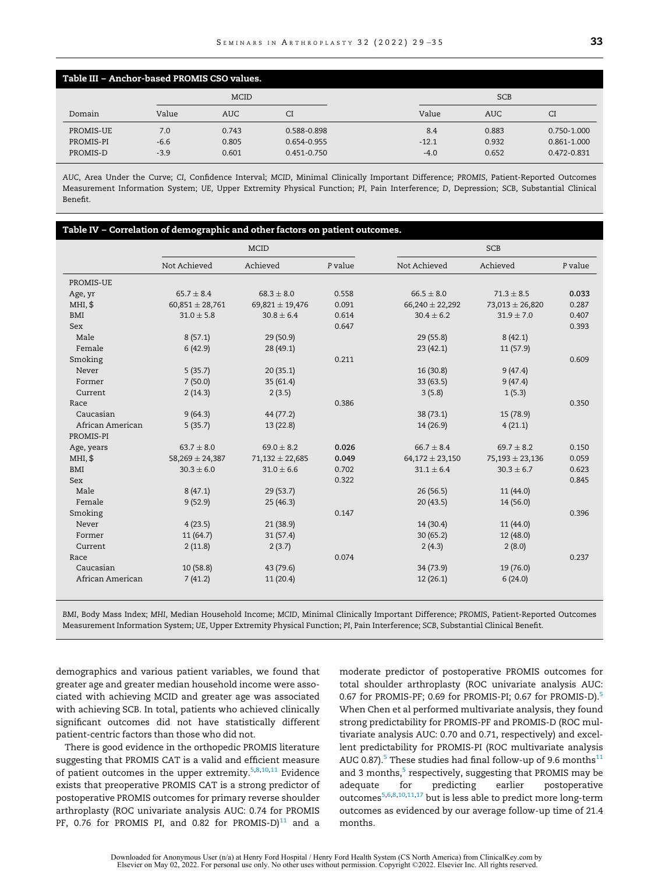<span id="page-6-0"></span>

| Table III - Anchor-based PROMIS CSO values. |             |            |                 |            |            |                 |
|---------------------------------------------|-------------|------------|-----------------|------------|------------|-----------------|
|                                             | <b>MCID</b> |            |                 | <b>SCB</b> |            |                 |
| Domain                                      | Value       | <b>AUC</b> | CI              | Value      | <b>AUC</b> | СI              |
| PROMIS-UE                                   | 7.0         | 0.743      | 0.588-0.898     | 8.4        | 0.883      | 0.750-1.000     |
| PROMIS-PI                                   | $-6.6$      | 0.805      | 0.654-0.955     | $-12.1$    | 0.932      | $0.861 - 1.000$ |
| PROMIS-D                                    | $-3.9$      | 0.601      | $0.451 - 0.750$ | $-4.0$     | 0.652      | $0.472 - 0.831$ |

AUC, Area Under the Curve; CI, Confidence Interval; MCID, Minimal Clinically Important Difference; PROMIS, Patient-Reported Outcomes Measurement Information System; UE, Upper Extremity Physical Function; PI, Pain Interference; D, Depression; SCB, Substantial Clinical Benefit.

<span id="page-6-1"></span>

|                  |                     | <b>MCID</b>         |         |                     | <b>SCB</b>          |         |  |
|------------------|---------------------|---------------------|---------|---------------------|---------------------|---------|--|
|                  | Not Achieved        | Achieved            | P value | Not Achieved        | Achieved            | P value |  |
| PROMIS-UE        |                     |                     |         |                     |                     |         |  |
| Age, yr          | $65.7 \pm 8.4$      | $68.3 \pm 8.0$      | 0.558   | $66.5 \pm 8.0$      | $71.3 \pm 8.5$      | 0.033   |  |
| MHI, \$          | $60,851 \pm 28,761$ | 69,821 $\pm$ 19,476 | 0.091   | $66,240 \pm 22,292$ | $73,013 \pm 26,820$ | 0.287   |  |
| <b>BMI</b>       | $31.0 \pm 5.8$      | $30.8 \pm 6.4$      | 0.614   | $30.4 \pm 6.2$      | $31.9 \pm 7.0$      | 0.407   |  |
| Sex              |                     |                     | 0.647   |                     |                     | 0.393   |  |
| Male             | 8(57.1)             | 29(50.9)            |         | 29(55.8)            | 8(42.1)             |         |  |
| Female           | 6(42.9)             | 28 (49.1)           |         | 23(42.1)            | 11(57.9)            |         |  |
| Smoking          |                     |                     | 0.211   |                     |                     | 0.609   |  |
| Never            | 5(35.7)             | 20(35.1)            |         | 16 (30.8)           | 9(47.4)             |         |  |
| Former           | 7(50.0)             | 35(61.4)            |         | 33(63.5)            | 9(47.4)             |         |  |
| Current          | 2(14.3)             | 2(3.5)              |         | 3(5.8)              | 1(5.3)              |         |  |
| Race             |                     |                     | 0.386   |                     |                     | 0.350   |  |
| Caucasian        | 9(64.3)             | 44 (77.2)           |         | 38(73.1)            | 15 (78.9)           |         |  |
| African American | 5(35.7)             | 13(22.8)            |         | 14 (26.9)           | 4(21.1)             |         |  |
| PROMIS-PI        |                     |                     |         |                     |                     |         |  |
| Age, years       | $63.7 \pm 8.0$      | $69.0 \pm 8.2$      | 0.026   | $66.7 + 8.4$        | $69.7 \pm 8.2$      | 0.150   |  |
| MHI, \$          | $58,269 \pm 24,387$ | $71,132 \pm 22,685$ | 0.049   | $64,172 \pm 23,150$ | $75,193 \pm 23,136$ | 0.059   |  |
| <b>BMI</b>       | $30.3 \pm 6.0$      | $31.0 \pm 6.6$      | 0.702   | $31.1 \pm 6.4$      | $30.3 \pm 6.7$      | 0.623   |  |
| Sex              |                     |                     | 0.322   |                     |                     | 0.845   |  |
| Male             | 8(47.1)             | 29(53.7)            |         | 26(56.5)            | 11 (44.0)           |         |  |
| Female           | 9(52.9)             | 25(46.3)            |         | 20(43.5)            | 14 (56.0)           |         |  |
| Smoking          |                     |                     | 0.147   |                     |                     | 0.396   |  |
| Never            | 4(23.5)             | 21(38.9)            |         | 14 (30.4)           | 11 (44.0)           |         |  |
| Former           | 11(64.7)            | 31(57.4)            |         | 30(65.2)            | 12 (48.0)           |         |  |
| Current          | 2(11.8)             | 2(3.7)              |         | 2(4.3)              | 2(8.0)              |         |  |
| Race             |                     |                     | 0.074   |                     |                     | 0.237   |  |
| Caucasian        | 10(58.8)            | 43 (79.6)           |         | 34 (73.9)           | 19 (76.0)           |         |  |
| African American | 7(41.2)             | 11(20.4)            |         | 12(26.1)            | 6(24.0)             |         |  |

BMI, Body Mass Index; MHI, Median Household Income; MCID, Minimal Clinically Important Difference; PROMIS, Patient-Reported Outcomes Measurement Information System; UE, Upper Extremity Physical Function; PI, Pain Interference; SCB, Substantial Clinical Benefit.

demographics and various patient variables, we found that greater age and greater median household income were associated with achieving MCID and greater age was associated with achieving SCB. In total, patients who achieved clinically significant outcomes did not have statistically different patient-centric factors than those who did not.

There is good evidence in the orthopedic PROMIS literature suggesting that PROMIS CAT is a valid and efficient measure of patient outcomes in the upper extremity.<sup>[5](#page-7-5)[,8](#page-7-3)[,10](#page-7-9)[,11](#page-7-7)</sup> Evidence exists that preoperative PROMIS CAT is a strong predictor of postoperative PROMIS outcomes for primary reverse shoulder arthroplasty (ROC univariate analysis AUC: 0.74 for PROMIS PF, 0.76 for PROMIS PI, and 0.82 for PROMIS-D $)^{11}$  $)^{11}$  $)^{11}$  and a

moderate predictor of postoperative PROMIS outcomes for total shoulder arthroplasty (ROC univariate analysis AUC: 0.67 for PROMIS-PF; 0.69 for PROMIS-PI; 0.67 for PROMIS-D).<sup>[5](#page-7-5)</sup> When Chen et al performed multivariate analysis, they found strong predictability for PROMIS-PF and PROMIS-D (ROC multivariate analysis AUC: 0.70 and 0.71, respectively) and excellent predictability for PROMIS-PI (ROC multivariate analysis AUC 0.87).<sup>[5](#page-7-5)</sup> These studies had final follow-up of 9.6 months<sup>[11](#page-7-7)</sup> and 3 months, $5$  respectively, suggesting that PROMIS may be adequate for predicting earlier postoperative outcomes<sup>[5](#page-7-5)[,6](#page-7-6)[,8](#page-7-3),[10,](#page-7-9)[11,](#page-7-7)[17](#page-8-4)</sup> but is less able to predict more long-term outcomes as evidenced by our average follow-up time of 21.4 months.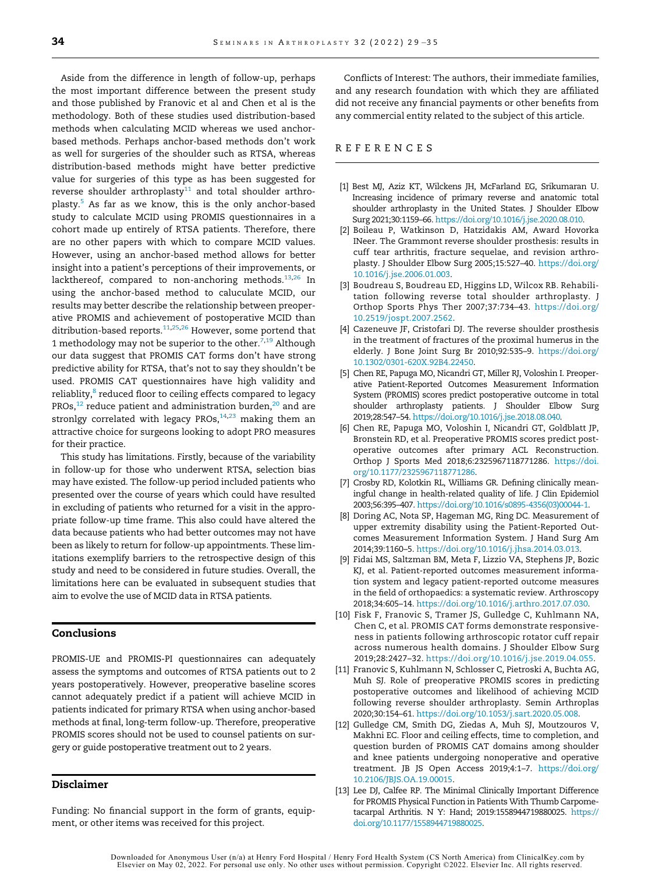<span id="page-7-2"></span><span id="page-7-0"></span>Aside from the difference in length of follow-up, perhaps the most important difference between the present study and those published by Franovic et al and Chen et al is the methodology. Both of these studies used distribution-based methods when calculating MCID whereas we used anchorbased methods. Perhaps anchor-based methods don't work as well for surgeries of the shoulder such as RTSA, whereas distribution-based methods might have better predictive value for surgeries of this type as has been suggested for reverse shoulder arthroplasty $^{11}$  $^{11}$  $^{11}$  and total shoulder arthro-plasty.<sup>[5](#page-7-5)</sup> As far as we know, this is the only anchor-based study to calculate MCID using PROMIS questionnaires in a cohort made up entirely of RTSA patients. Therefore, there are no other papers with which to compare MCID values. However, using an anchor-based method allows for better insight into a patient's perceptions of their improvements, or lackthereof, compared to non-anchoring methods.<sup>[13](#page-7-8)[,26](#page-8-5)</sup> In using the anchor-based method to caluculate MCID, our results may better describe the relationship between preoperative PROMIS and achievement of postoperative MCID than ditribution-based reports.<sup>[11](#page-7-7),[25,](#page-8-7)[26](#page-8-5)</sup> However, some portend that 1 methodology may not be superior to the other.<sup>[7](#page-7-10),[19](#page-8-11)</sup> Although our data suggest that PROMIS CAT forms don't have strong predictive ability for RTSA, that's not to say they shouldn't be used. PROMIS CAT questionnaires have high validity and reliablity,<sup>[8](#page-7-3)</sup> reduced floor to ceiling effects compared to legacy PROs, $^{12}$  $^{12}$  $^{12}$  reduce patient and administration burden, $^{20}$  $^{20}$  $^{20}$  and are stronlgy correlated with legacy PROs, $14,23$  $14,23$  making them an attractive choice for surgeons looking to adopt PRO measures for their practice.

<span id="page-7-10"></span><span id="page-7-6"></span><span id="page-7-5"></span><span id="page-7-3"></span><span id="page-7-1"></span>This study has limitations. Firstly, because of the variability in follow-up for those who underwent RTSA, selection bias may have existed. The follow-up period included patients who presented over the course of years which could have resulted in excluding of patients who returned for a visit in the appropriate follow-up time frame. This also could have altered the data because patients who had better outcomes may not have been as likely to return for follow-up appointments. These limitations exemplify barriers to the retrospective design of this study and need to be considered in future studies. Overall, the limitations here can be evaluated in subsequent studies that aim to evolve the use of MCID data in RTSA patients.

#### <span id="page-7-9"></span><span id="page-7-4"></span>Conclusions

<span id="page-7-7"></span>PROMIS-UE and PROMIS-PI questionnaires can adequately assess the symptoms and outcomes of RTSA patients out to 2 years postoperatively. However, preoperative baseline scores cannot adequately predict if a patient will achieve MCID in patients indicated for primary RTSA when using anchor-based methods at final, long-term follow-up. Therefore, preoperative PROMIS scores should not be used to counsel patients on surgery or guide postoperative treatment out to 2 years.

#### <span id="page-7-11"></span><span id="page-7-8"></span>Disclaimer

Funding: No financial support in the form of grants, equipment, or other items was received for this project.

Conflicts of Interest: The authors, their immediate families, and any research foundation with which they are affiliated did not receive any financial payments or other benefits from any commercial entity related to the subject of this article.

#### REFERENCES

- [1] Best MJ, Aziz KT, Wilckens JH, McFarland EG, Srikumaran U. Increasing incidence of primary reverse and anatomic total shoulder arthroplasty in the United States. J Shoulder Elbow Surg 2021;30:1159–66. https://doi.org[/10.1016/j.jse.2020.08.010](https://doi.org/10.1016/j.jse.2020.08.010).
- [2] Boileau P, Watkinson D, Hatzidakis AM, Award Hovorka INeer. The Grammont reverse shoulder prosthesis: results in cuff tear arthritis, fracture sequelae, and revision arthroplasty. J Shoulder Elbow Surg 2005;15:527–40. https://doi.org/ [10.1016/j.jse.2006.01.003](https://doi.org/10.1016/j.jse.2006.01.003).
- [3] Boudreau S, Boudreau ED, Higgins LD, Wilcox RB. Rehabilitation following reverse total shoulder arthroplasty. J Orthop Sports Phys Ther 2007;37:734–43. https://doi.org/ [10.2519/jospt.2007.2562.](https://doi.org/10.2519/jospt.2007.2562)
- [4] Cazeneuve JF, Cristofari DJ. The reverse shoulder prosthesis in the treatment of fractures of the proximal humerus in the elderly. J Bone Joint Surg Br 2010;92:535-9. https://doi.org/ [10.1302/0301-620X.92B4.22450](https://doi.org/10.1302/0301-620X.92B4.22450).
- [5] Chen RE, Papuga MO, Nicandri GT, Miller RJ, Voloshin I. Preoperative Patient-Reported Outcomes Measurement Information System (PROMIS) scores predict postoperative outcome in total shoulder arthroplasty patients. J Shoulder Elbow Surg 2019;28:547–54. https://doi.org/[10.1016/j.jse.2018.08.040.](https://doi.org/10.1016/j.jse.2018.08.040)
- [6] Chen RE, Papuga MO, Voloshin I, Nicandri GT, Goldblatt JP, Bronstein RD, et al. Preoperative PROMIS scores predict postoperative outcomes after primary ACL Reconstruction. Orthop J Sports Med 2018;6:2325967118771286. https://doi. org[/10.1177/2325967118771286.](https://doi.org/10.1177/2325967118771286)
- [7] Crosby RD, Kolotkin RL, Williams GR. Defining clinically meaningful change in health-related quality of life. J Clin Epidemiol 2003;56:395–407. https://doi.org/[10.1016/s0895-4356\(03\)00044-1](https://doi.org/10.1016/s0895-4356(03)00044-1).
- [8] Doring AC, Nota SP, Hageman MG, Ring DC. Measurement of upper extremity disability using the Patient-Reported Outcomes Measurement Information System. J Hand Surg Am 2014;39:1160–5. https://doi.org/[10.1016/j.jhsa.2014.03.013](https://doi.org/10.1016/j.jhsa.2014.03.013).
- [9] Fidai MS, Saltzman BM, Meta F, Lizzio VA, Stephens JP, Bozic KJ, et al. Patient-reported outcomes measurement information system and legacy patient-reported outcome measures in the field of orthopaedics: a systematic review. Arthroscopy 2018;34:605–14. https://doi.org/[10.1016/j.arthro.2017.07.030](https://doi.org/10.1016/j.arthro.2017.07.030).
- [10] Fisk F, Franovic S, Tramer JS, Gulledge C, Kuhlmann NA, Chen C, et al. PROMIS CAT forms demonstrate responsiveness in patients following arthroscopic rotator cuff repair across numerous health domains. J Shoulder Elbow Surg 2019;28:2427–32. https://doi.org/[10.1016/j.jse.2019.04.055](https://doi.org/10.1016/j.jse.2019.04.055).
- [11] Franovic S, Kuhlmann N, Schlosser C, Pietroski A, Buchta AG, Muh SJ. Role of preoperative PROMIS scores in predicting postoperative outcomes and likelihood of achieving MCID following reverse shoulder arthroplasty. Semin Arthroplas 2020;30:154–61. https://doi.org/[10.1053/j.sart.2020.05.008](https://doi.org/10.1053/j.sart.2020.05.008).
- [12] Gulledge CM, Smith DG, Ziedas A, Muh SJ, Moutzouros V, Makhni EC. Floor and ceiling effects, time to completion, and question burden of PROMIS CAT domains among shoulder and knee patients undergoing nonoperative and operative treatment. JB JS Open Access 2019;4:1–7. https://doi.org/ [10.2106/JBJS.OA.19.00015](https://doi.org/10.2106/JBJS.OA.19.00015).
- [13] Lee DJ, Calfee RP. The Minimal Clinically Important Difference for PROMIS Physical Function in Patients With Thumb Carpometacarpal Arthritis. N Y: Hand; 2019:1558944719880025. https:// doi.org[/10.1177/1558944719880025](https://doi.org/10.1177/1558944719880025).

Downloaded for Anonymous User (n/a) at Henry Ford Hospital / Henry Ford Health System (CS North America) from ClinicalKey.com by<br>Elsevier on May 02, 2022. For personal use only. No other uses without permission. Copyright